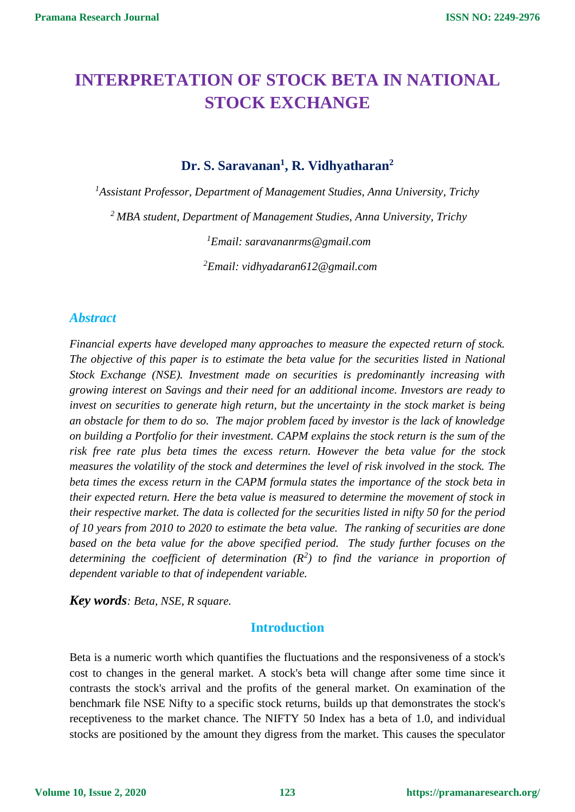# **INTERPRETATION OF STOCK BETA IN NATIONAL STOCK EXCHANGE**

# **Dr. S. Saravanan<sup>1</sup> , R. Vidhyatharan<sup>2</sup>**

*<sup>1</sup>Assistant Professor, Department of Management Studies, Anna University, Trichy* 

*<sup>2</sup>MBA student, Department of Management Studies, Anna University, Trichy* 

*<sup>1</sup>Email: saravananrms@gmail.com* 

*<sup>2</sup>Email: vidhyadaran612@gmail.com*

### *Abstract*

*Financial experts have developed many approaches to measure the expected return of stock. The objective of this paper is to estimate the beta value for the securities listed in National Stock Exchange (NSE). Investment made on securities is predominantly increasing with growing interest on Savings and their need for an additional income. Investors are ready to invest on securities to generate high return, but the uncertainty in the stock market is being an obstacle for them to do so. The major problem faced by investor is the lack of knowledge on building a Portfolio for their investment. CAPM explains the stock return is the sum of the risk free rate plus beta times the excess return. However the beta value for the stock measures the volatility of the stock and determines the level of risk involved in the stock. The beta times the excess return in the CAPM formula states the importance of the stock beta in their expected return. Here the beta value is measured to determine the movement of stock in their respective market. The data is collected for the securities listed in nifty 50 for the period of 10 years from 2010 to 2020 to estimate the beta value. The ranking of securities are done based on the beta value for the above specified period. The study further focuses on the determining the coefficient of determination (R<sup>2</sup> ) to find the variance in proportion of dependent variable to that of independent variable.*

*Key words: Beta, NSE, R square.*

### **Introduction**

Beta is a numeric worth which quantifies the fluctuations and the responsiveness of a stock's cost to changes in the general market. A stock's beta will change after some time since it contrasts the stock's arrival and the profits of the general market. On examination of the benchmark file NSE Nifty to a specific stock returns, builds up that demonstrates the stock's receptiveness to the market chance. The NIFTY 50 Index has a beta of 1.0, and individual stocks are positioned by the amount they digress from the market. This causes the speculator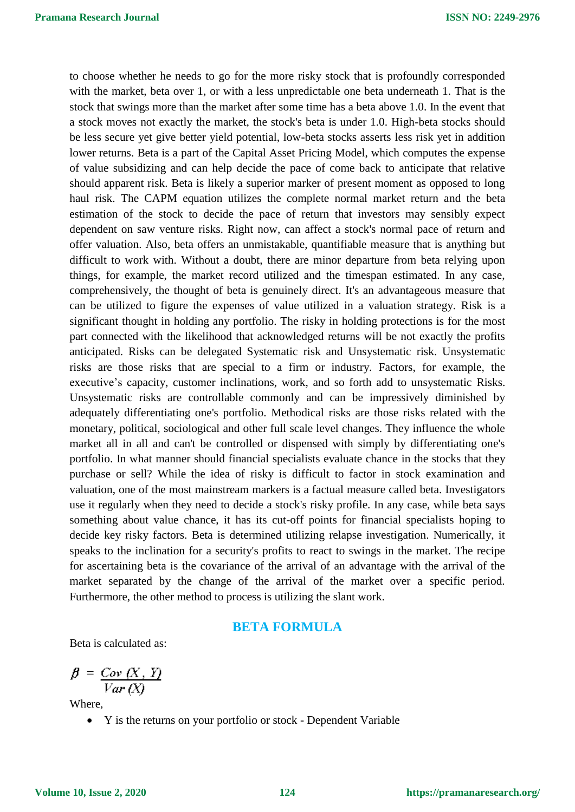to choose whether he needs to go for the more risky stock that is profoundly corresponded with the market, beta over 1, or with a less unpredictable one beta underneath 1. That is the stock that swings more than the market after some time has a beta above 1.0. In the event that a stock moves not exactly the market, the stock's beta is under 1.0. High-beta stocks should be less secure yet give better yield potential, low-beta stocks asserts less risk yet in addition lower returns. Beta is a part of the Capital Asset Pricing Model, which computes the expense of value subsidizing and can help decide the pace of come back to anticipate that relative should apparent risk. Beta is likely a superior marker of present moment as opposed to long haul risk. The CAPM equation utilizes the complete normal market return and the beta estimation of the stock to decide the pace of return that investors may sensibly expect dependent on saw venture risks. Right now, can affect a stock's normal pace of return and offer valuation. Also, beta offers an unmistakable, quantifiable measure that is anything but difficult to work with. Without a doubt, there are minor departure from beta relying upon things, for example, the market record utilized and the timespan estimated. In any case, comprehensively, the thought of beta is genuinely direct. It's an advantageous measure that can be utilized to figure the expenses of value utilized in a valuation strategy. Risk is a significant thought in holding any portfolio. The risky in holding protections is for the most part connected with the likelihood that acknowledged returns will be not exactly the profits anticipated. Risks can be delegated Systematic risk and Unsystematic risk. Unsystematic risks are those risks that are special to a firm or industry. Factors, for example, the executive's capacity, customer inclinations, work, and so forth add to unsystematic Risks. Unsystematic risks are controllable commonly and can be impressively diminished by adequately differentiating one's portfolio. Methodical risks are those risks related with the monetary, political, sociological and other full scale level changes. They influence the whole market all in all and can't be controlled or dispensed with simply by differentiating one's portfolio. In what manner should financial specialists evaluate chance in the stocks that they purchase or sell? While the idea of risky is difficult to factor in stock examination and valuation, one of the most mainstream markers is a factual measure called beta. Investigators use it regularly when they need to decide a stock's risky profile. In any case, while beta says something about value chance, it has its cut-off points for financial specialists hoping to decide key risky factors. Beta is determined utilizing relapse investigation. Numerically, it speaks to the inclination for a security's profits to react to swings in the market. The recipe for ascertaining beta is the covariance of the arrival of an advantage with the arrival of the market separated by the change of the arrival of the market over a specific period. Furthermore, the other method to process is utilizing the slant work.

#### **BETA FORMULA**

Beta is calculated as:

$$
\beta = \frac{Cov(X, Y)}{Var(X)}
$$

Where,

Y is the returns on your portfolio or stock - Dependent Variable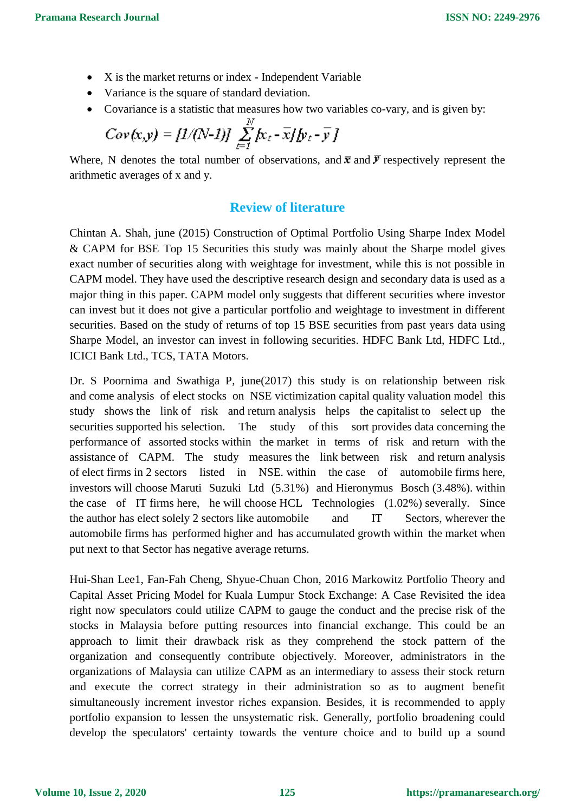- X is the market returns or index Independent Variable
- Variance is the square of standard deviation.
- Covariance is a statistic that measures how two variables co-vary, and is given by:

$$
Cov(x,y) = [1/(N-1)] \sum_{t=1}^{N} [k_t - \overline{x}]/[y_t - \overline{y}]
$$

Where, N denotes the total number of observations, and  $\bar{x}$  and  $\bar{y}$  respectively represent the arithmetic averages of x and y.

# **Review of literature**

Chintan A. Shah, june (2015) Construction of Optimal Portfolio Using Sharpe Index Model & CAPM for BSE Top 15 Securities this study was mainly about the Sharpe model gives exact number of securities along with weightage for investment, while this is not possible in CAPM model. They have used the descriptive research design and secondary data is used as a major thing in this paper. CAPM model only suggests that different securities where investor can invest but it does not give a particular portfolio and weightage to investment in different securities. Based on the study of returns of top 15 BSE securities from past years data using Sharpe Model, an investor can invest in following securities. HDFC Bank Ltd, HDFC Ltd., ICICI Bank Ltd., TCS, TATA Motors.

Dr. S Poornima and Swathiga P, june(2017) this study is on relationship between risk and come analysis of elect stocks on NSE victimization capital quality valuation model this study shows the link of risk and return analysis helps the capitalist to select up the securities supported his selection. The study of this sort provides data concerning the performance of assorted stocks within the market in terms of risk and return with the assistance of CAPM. The study measures the link between risk and return analysis of elect firms in 2 sectors listed in NSE. within the case of automobile firms here, investors will choose Maruti Suzuki Ltd (5.31%) and Hieronymus Bosch (3.48%). within the case of IT firms here, he will choose HCL Technologies (1.02%) severally. Since the author has elect solely 2 sectors like automobile and IT Sectors, wherever the automobile firms has performed higher and has accumulated growth within the market when put next to that Sector has negative average returns.

Hui-Shan Lee1, Fan-Fah Cheng, Shyue-Chuan Chon, 2016 Markowitz Portfolio Theory and Capital Asset Pricing Model for Kuala Lumpur Stock Exchange: A Case Revisited the idea right now speculators could utilize CAPM to gauge the conduct and the precise risk of the stocks in Malaysia before putting resources into financial exchange. This could be an approach to limit their drawback risk as they comprehend the stock pattern of the organization and consequently contribute objectively. Moreover, administrators in the organizations of Malaysia can utilize CAPM as an intermediary to assess their stock return and execute the correct strategy in their administration so as to augment benefit simultaneously increment investor riches expansion. Besides, it is recommended to apply portfolio expansion to lessen the unsystematic risk. Generally, portfolio broadening could develop the speculators' certainty towards the venture choice and to build up a sound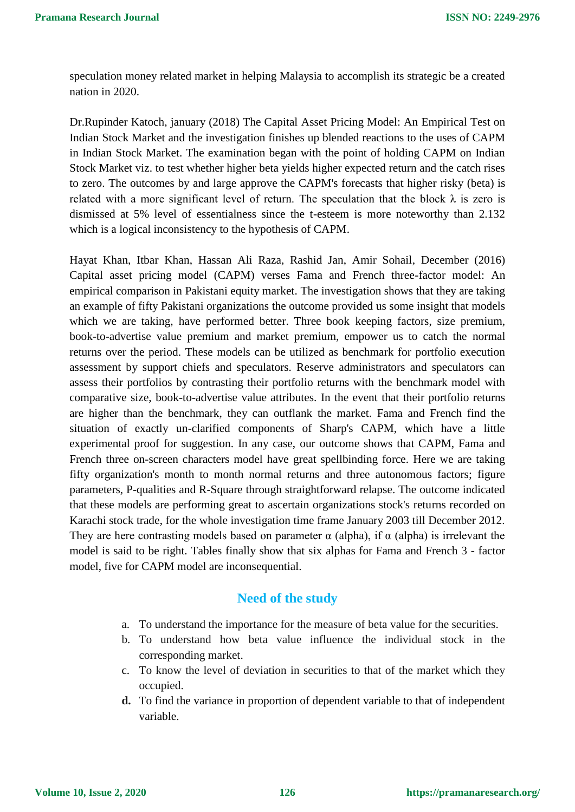speculation money related market in helping Malaysia to accomplish its strategic be a created nation in 2020.

Dr.Rupinder Katoch, january (2018) The Capital Asset Pricing Model: An Empirical Test on Indian Stock Market and the investigation finishes up blended reactions to the uses of CAPM in Indian Stock Market. The examination began with the point of holding CAPM on Indian Stock Market viz. to test whether higher beta yields higher expected return and the catch rises to zero. The outcomes by and large approve the CAPM's forecasts that higher risky (beta) is related with a more significant level of return. The speculation that the block  $\lambda$  is zero is dismissed at 5% level of essentialness since the t-esteem is more noteworthy than 2.132 which is a logical inconsistency to the hypothesis of CAPM.

Hayat Khan, Itbar Khan, Hassan Ali Raza, Rashid Jan, Amir Sohail, December (2016) Capital asset pricing model (CAPM) verses Fama and French three-factor model: An empirical comparison in Pakistani equity market. The investigation shows that they are taking an example of fifty Pakistani organizations the outcome provided us some insight that models which we are taking, have performed better. Three book keeping factors, size premium, book-to-advertise value premium and market premium, empower us to catch the normal returns over the period. These models can be utilized as benchmark for portfolio execution assessment by support chiefs and speculators. Reserve administrators and speculators can assess their portfolios by contrasting their portfolio returns with the benchmark model with comparative size, book-to-advertise value attributes. In the event that their portfolio returns are higher than the benchmark, they can outflank the market. Fama and French find the situation of exactly un-clarified components of Sharp's CAPM, which have a little experimental proof for suggestion. In any case, our outcome shows that CAPM, Fama and French three on-screen characters model have great spellbinding force. Here we are taking fifty organization's month to month normal returns and three autonomous factors; figure parameters, P-qualities and R-Square through straightforward relapse. The outcome indicated that these models are performing great to ascertain organizations stock's returns recorded on Karachi stock trade, for the whole investigation time frame January 2003 till December 2012. They are here contrasting models based on parameter  $\alpha$  (alpha), if  $\alpha$  (alpha) is irrelevant the model is said to be right. Tables finally show that six alphas for Fama and French 3 - factor model, five for CAPM model are inconsequential.

# **Need of the study**

- a. To understand the importance for the measure of beta value for the securities.
- b. To understand how beta value influence the individual stock in the corresponding market.
- c. To know the level of deviation in securities to that of the market which they occupied.
- **d.** To find the variance in proportion of dependent variable to that of independent variable.

**Volume 10, Issue 2, 2020**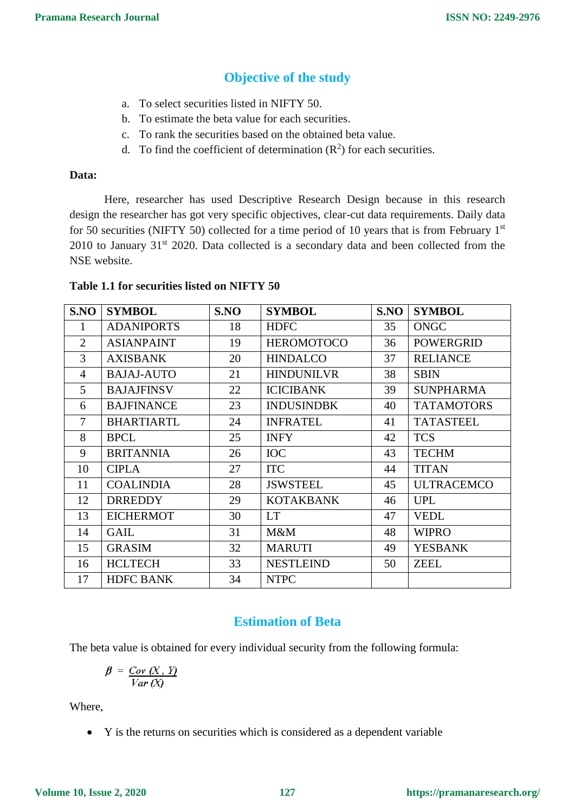# **Objective of the study**

- a. To select securities listed in NIFTY 50.
- b. To estimate the beta value for each securities.
- c. To rank the securities based on the obtained beta value.
- d. To find the coefficient of determination  $(R^2)$  for each securities.

#### **Data:**

Here, researcher has used Descriptive Research Design because in this research design the researcher has got very specific objectives, clear-cut data requirements. Daily data for 50 securities (NIFTY 50) collected for a time period of 10 years that is from February  $1<sup>st</sup>$  $2010$  to January  $31<sup>st</sup>$  2020. Data collected is a secondary data and been collected from the NSE website.

#### **Table 1.1 for securities listed on NIFTY 50**

| S.NO           | <b>SYMBOL</b>     | S.NO | <b>SYMBOL</b>     | S.NO | <b>SYMBOL</b>     |
|----------------|-------------------|------|-------------------|------|-------------------|
| 1              | <b>ADANIPORTS</b> | 18   | <b>HDFC</b>       | 35   | ONGC              |
| 2              | <b>ASIANPAINT</b> | 19   | <b>HEROMOTOCO</b> | 36   | POWERGRID         |
| 3              | <b>AXISBANK</b>   | 20   | <b>HINDALCO</b>   | 37   | <b>RELIANCE</b>   |
| $\overline{4}$ | <b>BAJAJ-AUTO</b> | 21   | <b>HINDUNILVR</b> | 38   | <b>SBIN</b>       |
| 5              | <b>BAJAJFINSV</b> | 22   | <b>ICICIBANK</b>  | 39   | <b>SUNPHARMA</b>  |
| 6              | <b>BAJFINANCE</b> | 23   | <b>INDUSINDBK</b> | 40   | <b>TATAMOTORS</b> |
| $\tau$         | <b>BHARTIARTL</b> | 24   | <b>INFRATEL</b>   | 41   | <b>TATASTEEL</b>  |
| 8              | <b>BPCL</b>       | 25   | <b>INFY</b>       | 42   | <b>TCS</b>        |
| 9              | <b>BRITANNIA</b>  | 26   | <b>IOC</b>        | 43   | <b>TECHM</b>      |
| 10             | <b>CIPLA</b>      | 27   | <b>ITC</b>        | 44   | <b>TITAN</b>      |
| 11             | <b>COALINDIA</b>  | 28   | <b>JSWSTEEL</b>   | 45   | <b>ULTRACEMCO</b> |
| 12             | <b>DRREDDY</b>    | 29   | <b>KOTAKBANK</b>  | 46   | <b>UPL</b>        |
| 13             | <b>EICHERMOT</b>  | 30   | <b>LT</b>         | 47   | <b>VEDL</b>       |
| 14             | <b>GAIL</b>       | 31   | M&M               | 48   | <b>WIPRO</b>      |
| 15             | <b>GRASIM</b>     | 32   | <b>MARUTI</b>     | 49   | <b>YESBANK</b>    |
| 16             | <b>HCLTECH</b>    | 33   | <b>NESTLEIND</b>  | 50   | ZEEL              |
| 17             | <b>HDFC BANK</b>  | 34   | <b>NTPC</b>       |      |                   |

# **Estimation of Beta**

The beta value is obtained for every individual security from the following formula:

$$
\beta = \frac{Cov(X, Y)}{Var(X)}
$$

Where,

Y is the returns on securities which is considered as a dependent variable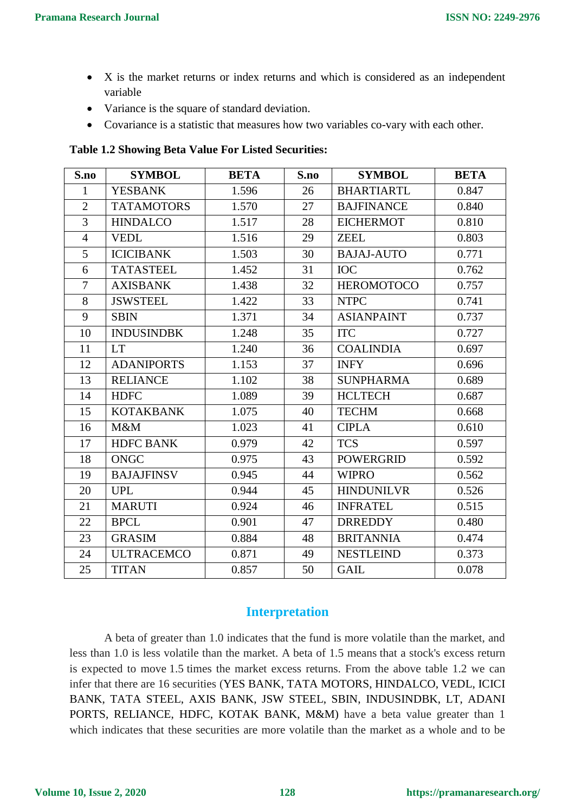- X is the market returns or index returns and which is considered as an independent variable
- Variance is the square of standard deviation.
- Covariance is a statistic that measures how two variables co-vary with each other.

**Table 1.2 Showing Beta Value For Listed Securities:**

| S.no           | <b>SYMBOL</b>     | <b>BETA</b> | S.no | <b>SYMBOL</b>     | <b>BETA</b> |
|----------------|-------------------|-------------|------|-------------------|-------------|
| $\mathbf{1}$   | <b>YESBANK</b>    | 1.596       | 26   | <b>BHARTIARTL</b> | 0.847       |
| $\overline{2}$ | <b>TATAMOTORS</b> | 1.570       | 27   | <b>BAJFINANCE</b> | 0.840       |
| 3              | <b>HINDALCO</b>   | 1.517       | 28   | <b>EICHERMOT</b>  | 0.810       |
| $\overline{4}$ | <b>VEDL</b>       | 1.516       | 29   | <b>ZEEL</b>       | 0.803       |
| 5              | <b>ICICIBANK</b>  | 1.503       | 30   | <b>BAJAJ-AUTO</b> | 0.771       |
| 6              | <b>TATASTEEL</b>  | 1.452       | 31   | <b>IOC</b>        | 0.762       |
| $\overline{7}$ | <b>AXISBANK</b>   | 1.438       | 32   | <b>HEROMOTOCO</b> | 0.757       |
| 8              | <b>JSWSTEEL</b>   | 1.422       | 33   | <b>NTPC</b>       | 0.741       |
| 9              | <b>SBIN</b>       | 1.371       | 34   | <b>ASIANPAINT</b> | 0.737       |
| 10             | <b>INDUSINDBK</b> | 1.248       | 35   | <b>ITC</b>        | 0.727       |
| 11             | <b>LT</b>         | 1.240       | 36   | <b>COALINDIA</b>  | 0.697       |
| 12             | <b>ADANIPORTS</b> | 1.153       | 37   | <b>INFY</b>       | 0.696       |
| 13             | <b>RELIANCE</b>   | 1.102       | 38   | <b>SUNPHARMA</b>  | 0.689       |
| 14             | <b>HDFC</b>       | 1.089       | 39   | <b>HCLTECH</b>    | 0.687       |
| 15             | <b>KOTAKBANK</b>  | 1.075       | 40   | <b>TECHM</b>      | 0.668       |
| 16             | M&M               | 1.023       | 41   | <b>CIPLA</b>      | 0.610       |
| 17             | <b>HDFC BANK</b>  | 0.979       | 42   | <b>TCS</b>        | 0.597       |
| 18             | <b>ONGC</b>       | 0.975       | 43   | <b>POWERGRID</b>  | 0.592       |
| 19             | <b>BAJAJFINSV</b> | 0.945       | 44   | <b>WIPRO</b>      | 0.562       |
| 20             | <b>UPL</b>        | 0.944       | 45   | <b>HINDUNILVR</b> | 0.526       |
| 21             | <b>MARUTI</b>     | 0.924       | 46   | <b>INFRATEL</b>   | 0.515       |
| 22             | <b>BPCL</b>       | 0.901       | 47   | <b>DRREDDY</b>    | 0.480       |
| 23             | <b>GRASIM</b>     | 0.884       | 48   | <b>BRITANNIA</b>  | 0.474       |
| 24             | <b>ULTRACEMCO</b> | 0.871       | 49   | <b>NESTLEIND</b>  | 0.373       |
| 25             | <b>TITAN</b>      | 0.857       | 50   | <b>GAIL</b>       | 0.078       |

# **Interpretation**

A beta of greater than 1.0 indicates that the fund is more volatile than the market, and less than 1.0 is less volatile than the market. A beta of 1.5 means that a stock's excess return is expected to move 1.5 times the market excess returns. From the above table 1.2 we can infer that there are 16 securities (YES BANK, TATA MOTORS, HINDALCO, VEDL, ICICI BANK, TATA STEEL, AXIS BANK, JSW STEEL, SBIN, INDUSINDBK, LT, ADANI PORTS, RELIANCE, HDFC, KOTAK BANK, M&M) have a beta value greater than 1 which indicates that these securities are more volatile than the market as a whole and to be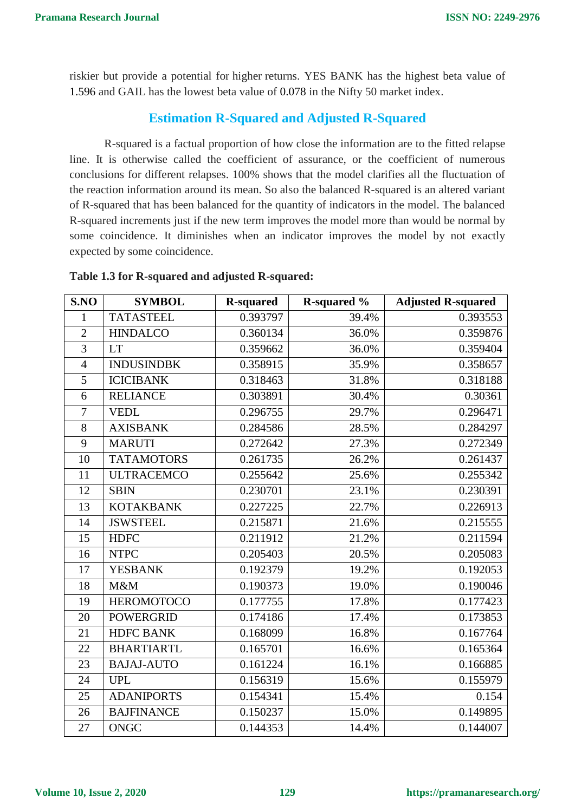riskier but provide a potential for higher returns. YES BANK has the highest beta value of 1.596 and GAIL has the lowest beta value of 0.078 in the Nifty 50 market index.

# **Estimation R-Squared and Adjusted R-Squared**

R-squared is a factual proportion of how close the information are to the fitted relapse line. It is otherwise called the coefficient of assurance, or the coefficient of numerous conclusions for different relapses. 100% shows that the model clarifies all the fluctuation of the reaction information around its mean. So also the balanced R-squared is an altered variant of R-squared that has been balanced for the quantity of indicators in the model. The balanced R-squared increments just if the new term improves the model more than would be normal by some coincidence. It diminishes when an indicator improves the model by not exactly expected by some coincidence.

| S.NO           | <b>SYMBOL</b>     | <b>R-squared</b> | R-squared % | <b>Adjusted R-squared</b> |
|----------------|-------------------|------------------|-------------|---------------------------|
| $\mathbf{1}$   | <b>TATASTEEL</b>  | 0.393797         | 39.4%       | 0.393553                  |
| $\overline{2}$ | <b>HINDALCO</b>   | 0.360134         | 36.0%       | 0.359876                  |
| $\overline{3}$ | <b>LT</b>         | 0.359662         | 36.0%       | 0.359404                  |
| $\overline{4}$ | <b>INDUSINDBK</b> | 0.358915         | 35.9%       | 0.358657                  |
| 5              | <b>ICICIBANK</b>  | 0.318463         | 31.8%       | 0.318188                  |
| 6              | <b>RELIANCE</b>   | 0.303891         | 30.4%       | 0.30361                   |
| $\overline{7}$ | <b>VEDL</b>       | 0.296755         | 29.7%       | 0.296471                  |
| 8              | <b>AXISBANK</b>   | 0.284586         | 28.5%       | 0.284297                  |
| 9              | <b>MARUTI</b>     | 0.272642         | 27.3%       | 0.272349                  |
| 10             | <b>TATAMOTORS</b> | 0.261735         | 26.2%       | 0.261437                  |
| 11             | <b>ULTRACEMCO</b> | 0.255642         | 25.6%       | 0.255342                  |
| 12             | <b>SBIN</b>       | 0.230701         | 23.1%       | 0.230391                  |
| 13             | <b>KOTAKBANK</b>  | 0.227225         | 22.7%       | 0.226913                  |
| 14             | <b>JSWSTEEL</b>   | 0.215871         | 21.6%       | 0.215555                  |
| 15             | <b>HDFC</b>       | 0.211912         | 21.2%       | 0.211594                  |
| 16             | <b>NTPC</b>       | 0.205403         | 20.5%       | 0.205083                  |
| 17             | <b>YESBANK</b>    | 0.192379         | 19.2%       | 0.192053                  |
| 18             | M&M               | 0.190373         | 19.0%       | 0.190046                  |
| 19             | <b>HEROMOTOCO</b> | 0.177755         | 17.8%       | 0.177423                  |
| 20             | <b>POWERGRID</b>  | 0.174186         | 17.4%       | 0.173853                  |
| 21             | <b>HDFC BANK</b>  | 0.168099         | 16.8%       | 0.167764                  |
| 22             | <b>BHARTIARTL</b> | 0.165701         | 16.6%       | 0.165364                  |
| 23             | <b>BAJAJ-AUTO</b> | 0.161224         | 16.1%       | 0.166885                  |
| 24             | <b>UPL</b>        | 0.156319         | 15.6%       | 0.155979                  |
| 25             | <b>ADANIPORTS</b> | 0.154341         | 15.4%       | 0.154                     |
| 26             | <b>BAJFINANCE</b> | 0.150237         | 15.0%       | 0.149895                  |
| 27             | <b>ONGC</b>       | 0.144353         | 14.4%       | 0.144007                  |

#### **Table 1.3 for R-squared and adjusted R-squared:**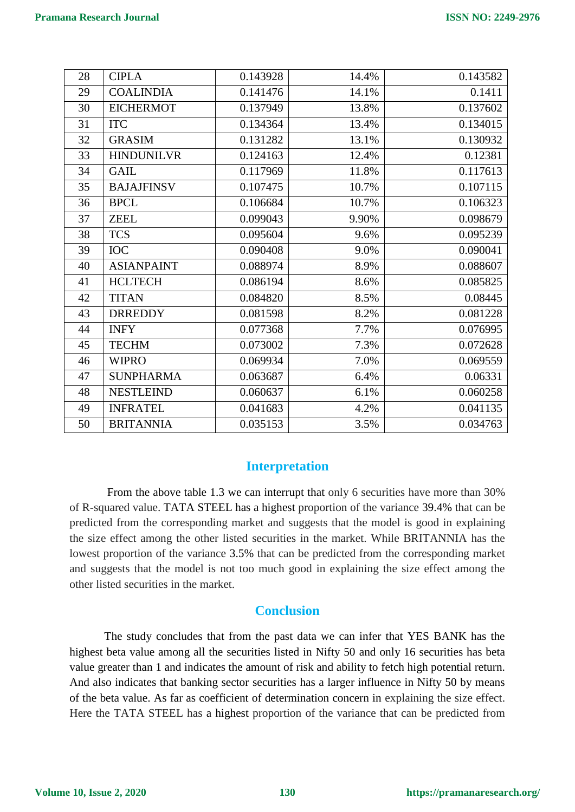| 28 | <b>CIPLA</b>      | 0.143928 | 14.4% | 0.143582 |
|----|-------------------|----------|-------|----------|
| 29 | <b>COALINDIA</b>  | 0.141476 | 14.1% | 0.1411   |
| 30 | <b>EICHERMOT</b>  | 0.137949 | 13.8% | 0.137602 |
| 31 | <b>ITC</b>        | 0.134364 | 13.4% | 0.134015 |
| 32 | <b>GRASIM</b>     | 0.131282 | 13.1% | 0.130932 |
| 33 | <b>HINDUNILVR</b> | 0.124163 | 12.4% | 0.12381  |
| 34 | <b>GAIL</b>       | 0.117969 | 11.8% | 0.117613 |
| 35 | <b>BAJAJFINSV</b> | 0.107475 | 10.7% | 0.107115 |
| 36 | <b>BPCL</b>       | 0.106684 | 10.7% | 0.106323 |
| 37 | <b>ZEEL</b>       | 0.099043 | 9.90% | 0.098679 |
| 38 | <b>TCS</b>        | 0.095604 | 9.6%  | 0.095239 |
| 39 | <b>IOC</b>        | 0.090408 | 9.0%  | 0.090041 |
| 40 | <b>ASIANPAINT</b> | 0.088974 | 8.9%  | 0.088607 |
| 41 | <b>HCLTECH</b>    | 0.086194 | 8.6%  | 0.085825 |
| 42 | <b>TITAN</b>      | 0.084820 | 8.5%  | 0.08445  |
| 43 | <b>DRREDDY</b>    | 0.081598 | 8.2%  | 0.081228 |
| 44 | <b>INFY</b>       | 0.077368 | 7.7%  | 0.076995 |
| 45 | <b>TECHM</b>      | 0.073002 | 7.3%  | 0.072628 |
| 46 | <b>WIPRO</b>      | 0.069934 | 7.0%  | 0.069559 |
| 47 | <b>SUNPHARMA</b>  | 0.063687 | 6.4%  | 0.06331  |
| 48 | <b>NESTLEIND</b>  | 0.060637 | 6.1%  | 0.060258 |
| 49 | <b>INFRATEL</b>   | 0.041683 | 4.2%  | 0.041135 |
| 50 | <b>BRITANNIA</b>  | 0.035153 | 3.5%  | 0.034763 |

# **Interpretation**

From the above table 1.3 we can interrupt that only 6 securities have more than 30% of R-squared value. TATA STEEL has a highest proportion of the variance 39.4% that can be predicted from the corresponding market and suggests that the model is good in explaining the size effect among the other listed securities in the market. While BRITANNIA has the lowest proportion of the variance 3.5% that can be predicted from the corresponding market and suggests that the model is not too much good in explaining the size effect among the other listed securities in the market.

# **Conclusion**

The study concludes that from the past data we can infer that YES BANK has the highest beta value among all the securities listed in Nifty 50 and only 16 securities has beta value greater than 1 and indicates the amount of risk and ability to fetch high potential return. And also indicates that banking sector securities has a larger influence in Nifty 50 by means of the beta value. As far as coefficient of determination concern in explaining the size effect. Here the TATA STEEL has a highest proportion of the variance that can be predicted from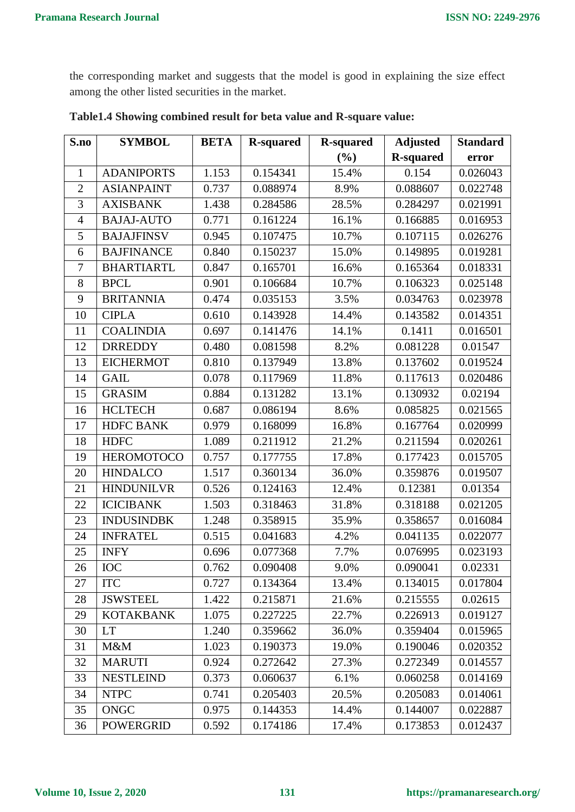the corresponding market and suggests that the model is good in explaining the size effect among the other listed securities in the market.

| S.no           | <b>SYMBOL</b>     | <b>BETA</b> | <b>R-squared</b> | <b>R-squared</b> | <b>Adjusted</b>  | <b>Standard</b> |
|----------------|-------------------|-------------|------------------|------------------|------------------|-----------------|
|                |                   |             |                  | (%)              | <b>R-squared</b> | error           |
| $\mathbf{1}$   | <b>ADANIPORTS</b> | 1.153       | 0.154341         | 15.4%            | 0.154            | 0.026043        |
| $\overline{2}$ | <b>ASIANPAINT</b> | 0.737       | 0.088974         | 8.9%             | 0.088607         | 0.022748        |
| 3              | <b>AXISBANK</b>   | 1.438       | 0.284586         | 28.5%            | 0.284297         | 0.021991        |
| $\overline{4}$ | <b>BAJAJ-AUTO</b> | 0.771       | 0.161224         | 16.1%            | 0.166885         | 0.016953        |
| 5              | <b>BAJAJFINSV</b> | 0.945       | 0.107475         | 10.7%            | 0.107115         | 0.026276        |
| 6              | <b>BAJFINANCE</b> | 0.840       | 0.150237         | 15.0%            | 0.149895         | 0.019281        |
| $\overline{7}$ | <b>BHARTIARTL</b> | 0.847       | 0.165701         | 16.6%            | 0.165364         | 0.018331        |
| 8              | <b>BPCL</b>       | 0.901       | 0.106684         | 10.7%            | 0.106323         | 0.025148        |
| 9              | <b>BRITANNIA</b>  | 0.474       | 0.035153         | 3.5%             | 0.034763         | 0.023978        |
| 10             | <b>CIPLA</b>      | 0.610       | 0.143928         | 14.4%            | 0.143582         | 0.014351        |
| 11             | <b>COALINDIA</b>  | 0.697       | 0.141476         | 14.1%            | 0.1411           | 0.016501        |
| 12             | <b>DRREDDY</b>    | 0.480       | 0.081598         | 8.2%             | 0.081228         | 0.01547         |
| 13             | <b>EICHERMOT</b>  | 0.810       | 0.137949         | 13.8%            | 0.137602         | 0.019524        |
| 14             | <b>GAIL</b>       | 0.078       | 0.117969         | 11.8%            | 0.117613         | 0.020486        |
| 15             | <b>GRASIM</b>     | 0.884       | 0.131282         | 13.1%            | 0.130932         | 0.02194         |
| 16             | <b>HCLTECH</b>    | 0.687       | 0.086194         | 8.6%             | 0.085825         | 0.021565        |
| 17             | <b>HDFC BANK</b>  | 0.979       | 0.168099         | 16.8%            | 0.167764         | 0.020999        |
| 18             | <b>HDFC</b>       | 1.089       | 0.211912         | 21.2%            | 0.211594         | 0.020261        |
| 19             | <b>HEROMOTOCO</b> | 0.757       | 0.177755         | 17.8%            | 0.177423         | 0.015705        |
| 20             | <b>HINDALCO</b>   | 1.517       | 0.360134         | 36.0%            | 0.359876         | 0.019507        |
| 21             | <b>HINDUNILVR</b> | 0.526       | 0.124163         | 12.4%            | 0.12381          | 0.01354         |
| 22             | <b>ICICIBANK</b>  | 1.503       | 0.318463         | 31.8%            | 0.318188         | 0.021205        |
| 23             | <b>INDUSINDBK</b> | 1.248       | 0.358915         | 35.9%            | 0.358657         | 0.016084        |
| 24             | <b>INFRATEL</b>   | 0.515       | 0.041683         | 4.2%             | 0.041135         | 0.022077        |
| 25             | <b>INFY</b>       | 0.696       | 0.077368         | 7.7%             | 0.076995         | 0.023193        |
| 26             | <b>IOC</b>        | 0.762       | 0.090408         | 9.0%             | 0.090041         | 0.02331         |
| 27             | <b>ITC</b>        | 0.727       | 0.134364         | 13.4%            | 0.134015         | 0.017804        |
| 28             | <b>JSWSTEEL</b>   | 1.422       | 0.215871         | 21.6%            | 0.215555         | 0.02615         |
| 29             | <b>KOTAKBANK</b>  | 1.075       | 0.227225         | 22.7%            | 0.226913         | 0.019127        |
| 30             | <b>LT</b>         | 1.240       | 0.359662         | 36.0%            | 0.359404         | 0.015965        |
| 31             | M&M               | 1.023       | 0.190373         | 19.0%            | 0.190046         | 0.020352        |
| 32             | <b>MARUTI</b>     | 0.924       | 0.272642         | 27.3%            | 0.272349         | 0.014557        |
| 33             | <b>NESTLEIND</b>  | 0.373       | 0.060637         | 6.1%             | 0.060258         | 0.014169        |
| 34             | <b>NTPC</b>       | 0.741       | 0.205403         | 20.5%            | 0.205083         | 0.014061        |
| 35             | <b>ONGC</b>       | 0.975       | 0.144353         | 14.4%            | 0.144007         | 0.022887        |
| 36             | <b>POWERGRID</b>  | 0.592       | 0.174186         | 17.4%            | 0.173853         | 0.012437        |

**Table1.4 Showing combined result for beta value and R-square value:**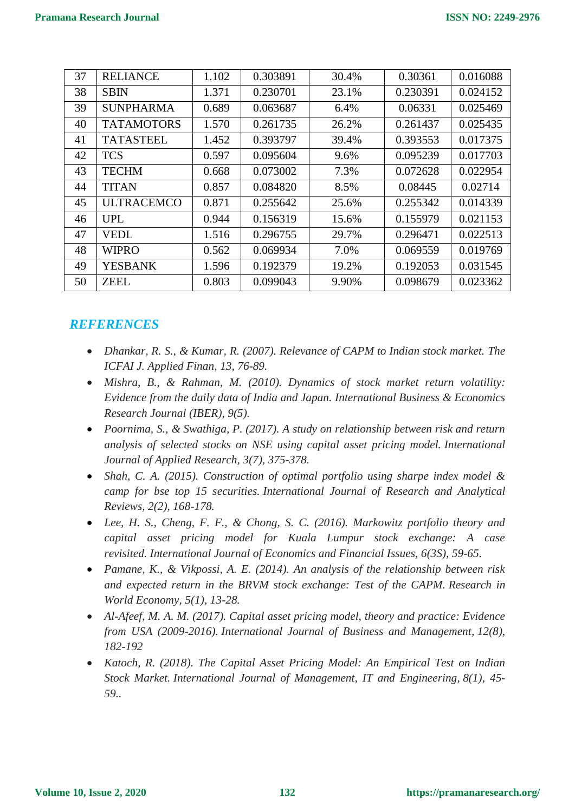| 37 | <b>RELIANCE</b>   | 1.102 | 0.303891 | 30.4% | 0.30361  | 0.016088 |
|----|-------------------|-------|----------|-------|----------|----------|
| 38 | <b>SBIN</b>       | 1.371 | 0.230701 | 23.1% | 0.230391 | 0.024152 |
| 39 | <b>SUNPHARMA</b>  | 0.689 | 0.063687 | 6.4%  | 0.06331  | 0.025469 |
| 40 | <b>TATAMOTORS</b> | 1.570 | 0.261735 | 26.2% | 0.261437 | 0.025435 |
| 41 | <b>TATASTEEL</b>  | 1.452 | 0.393797 | 39.4% | 0.393553 | 0.017375 |
| 42 | <b>TCS</b>        | 0.597 | 0.095604 | 9.6%  | 0.095239 | 0.017703 |
| 43 | <b>TECHM</b>      | 0.668 | 0.073002 | 7.3%  | 0.072628 | 0.022954 |
| 44 | <b>TITAN</b>      | 0.857 | 0.084820 | 8.5%  | 0.08445  | 0.02714  |
| 45 | <b>ULTRACEMCO</b> | 0.871 | 0.255642 | 25.6% | 0.255342 | 0.014339 |
| 46 | <b>UPL</b>        | 0.944 | 0.156319 | 15.6% | 0.155979 | 0.021153 |
| 47 | <b>VEDL</b>       | 1.516 | 0.296755 | 29.7% | 0.296471 | 0.022513 |
| 48 | <b>WIPRO</b>      | 0.562 | 0.069934 | 7.0%  | 0.069559 | 0.019769 |
| 49 | <b>YESBANK</b>    | 1.596 | 0.192379 | 19.2% | 0.192053 | 0.031545 |
| 50 | <b>ZEEL</b>       | 0.803 | 0.099043 | 9.90% | 0.098679 | 0.023362 |

# *REFERENCES*

- *Dhankar, R. S., & Kumar, R. (2007). Relevance of CAPM to Indian stock market. The ICFAI J. Applied Finan, 13, 76-89.*
- *Mishra, B., & Rahman, M. (2010). Dynamics of stock market return volatility: Evidence from the daily data of India and Japan. International Business & Economics Research Journal (IBER), 9(5).*
- *Poornima, S., & Swathiga, P. (2017). A study on relationship between risk and return analysis of selected stocks on NSE using capital asset pricing model. International Journal of Applied Research, 3(7), 375-378.*
- *Shah, C. A. (2015). Construction of optimal portfolio using sharpe index model & camp for bse top 15 securities. International Journal of Research and Analytical Reviews, 2(2), 168-178.*
- *Lee, H. S., Cheng, F. F., & Chong, S. C. (2016). Markowitz portfolio theory and capital asset pricing model for Kuala Lumpur stock exchange: A case revisited. International Journal of Economics and Financial Issues, 6(3S), 59-65.*
- *Pamane, K., & Vikpossi, A. E. (2014). An analysis of the relationship between risk and expected return in the BRVM stock exchange: Test of the CAPM. Research in World Economy, 5(1), 13-28.*
- *Al-Afeef, M. A. M. (2017). Capital asset pricing model, theory and practice: Evidence from USA (2009-2016). International Journal of Business and Management, 12(8), 182-192*
- *Katoch, R. (2018). The Capital Asset Pricing Model: An Empirical Test on Indian Stock Market. International Journal of Management, IT and Engineering, 8(1), 45- 59..*